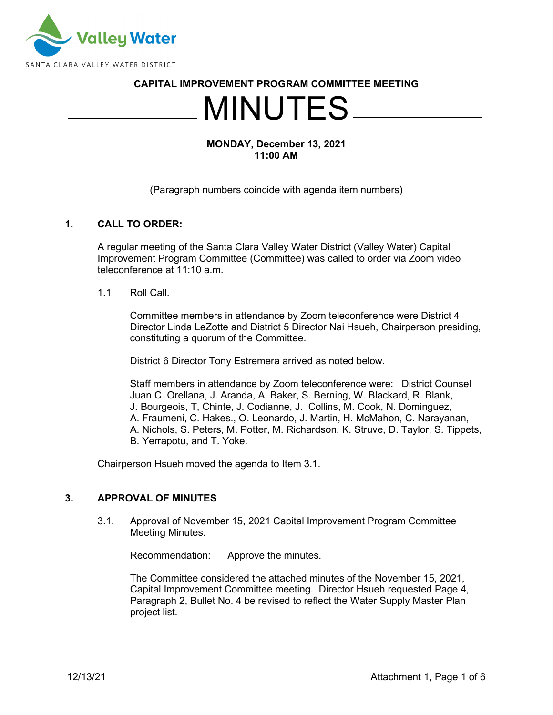

#### **CAPITAL IMPROVEMENT PROGRAM COMMITTEE MEETING**

# MINUTES

### **MONDAY, December 13, 2021 11:00 AM**

#### (Paragraph numbers coincide with agenda item numbers)

## **1. CALL TO ORDER:**

A regular meeting of the Santa Clara Valley Water District (Valley Water) Capital Improvement Program Committee (Committee) was called to order via Zoom video teleconference at 11:10 a.m.

#### 1.1 Roll Call.

Committee members in attendance by Zoom teleconference were District 4 Director Linda LeZotte and District 5 Director Nai Hsueh, Chairperson presiding, constituting a quorum of the Committee.

District 6 Director Tony Estremera arrived as noted below.

Staff members in attendance by Zoom teleconference were: District Counsel Juan C. Orellana, J. Aranda, A. Baker, S. Berning, W. Blackard, R. Blank, J. Bourgeois, T, Chinte, J. Codianne, J. Collins, M. Cook, N. Dominguez, A. Fraumeni, C. Hakes., O. Leonardo, J. Martin, H. McMahon, C. Narayanan, A. Nichols, S. Peters, M. Potter, M. Richardson, K. Struve, D. Taylor, S. Tippets, B. Yerrapotu, and T. Yoke.

Chairperson Hsueh moved the agenda to Item 3.1.

#### **3. APPROVAL OF MINUTES**

3.1. Approval of November 15, 2021 Capital Improvement Program Committee Meeting Minutes.

Recommendation: Approve the minutes.

The Committee considered the attached minutes of the November 15, 2021, Capital Improvement Committee meeting. Director Hsueh requested Page 4, Paragraph 2, Bullet No. 4 be revised to reflect the Water Supply Master Plan project list.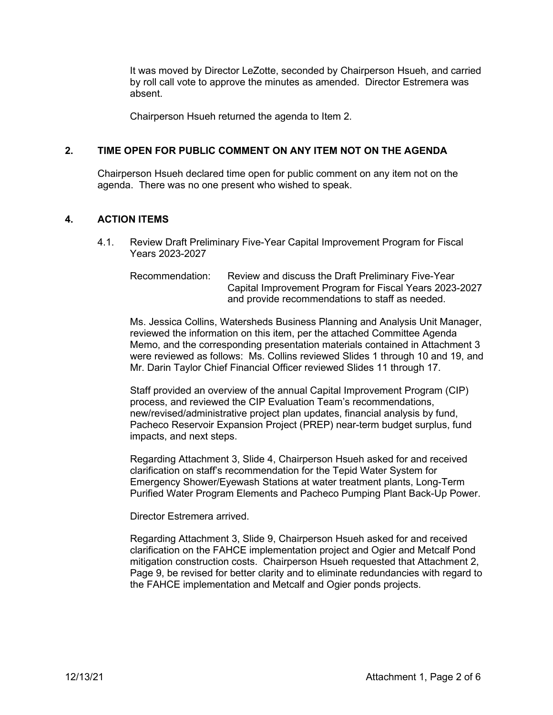It was moved by Director LeZotte, seconded by Chairperson Hsueh, and carried by roll call vote to approve the minutes as amended. Director Estremera was absent.

Chairperson Hsueh returned the agenda to Item 2.

#### **2. TIME OPEN FOR PUBLIC COMMENT ON ANY ITEM NOT ON THE AGENDA**

Chairperson Hsueh declared time open for public comment on any item not on the agenda. There was no one present who wished to speak.

#### **4. ACTION ITEMS**

4.1. Review Draft Preliminary Five-Year Capital Improvement Program for Fiscal Years 2023-2027

Recommendation: Review and discuss the Draft Preliminary Five-Year Capital Improvement Program for Fiscal Years 2023-2027 and provide recommendations to staff as needed.

Ms. Jessica Collins, Watersheds Business Planning and Analysis Unit Manager, reviewed the information on this item, per the attached Committee Agenda Memo, and the corresponding presentation materials contained in Attachment 3 were reviewed as follows: Ms. Collins reviewed Slides 1 through 10 and 19, and Mr. Darin Taylor Chief Financial Officer reviewed Slides 11 through 17.

Staff provided an overview of the annual Capital Improvement Program (CIP) process, and reviewed the CIP Evaluation Team's recommendations, new/revised/administrative project plan updates, financial analysis by fund, Pacheco Reservoir Expansion Project (PREP) near-term budget surplus, fund impacts, and next steps.

Regarding Attachment 3, Slide 4, Chairperson Hsueh asked for and received clarification on staff's recommendation for the Tepid Water System for Emergency Shower/Eyewash Stations at water treatment plants, Long-Term Purified Water Program Elements and Pacheco Pumping Plant Back-Up Power.

Director Estremera arrived.

Regarding Attachment 3, Slide 9, Chairperson Hsueh asked for and received clarification on the FAHCE implementation project and Ogier and Metcalf Pond mitigation construction costs. Chairperson Hsueh requested that Attachment 2, Page 9, be revised for better clarity and to eliminate redundancies with regard to the FAHCE implementation and Metcalf and Ogier ponds projects.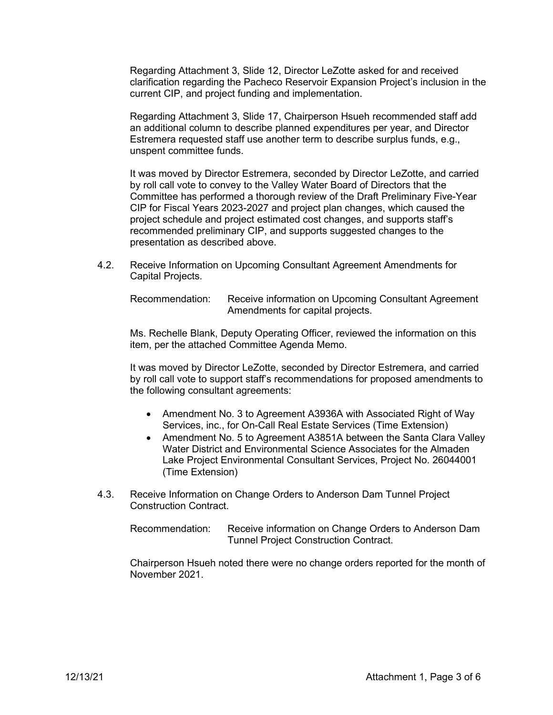Regarding Attachment 3, Slide 12, Director LeZotte asked for and received clarification regarding the Pacheco Reservoir Expansion Project's inclusion in the current CIP, and project funding and implementation.

Regarding Attachment 3, Slide 17, Chairperson Hsueh recommended staff add an additional column to describe planned expenditures per year, and Director Estremera requested staff use another term to describe surplus funds, e.g., unspent committee funds.

It was moved by Director Estremera, seconded by Director LeZotte, and carried by roll call vote to convey to the Valley Water Board of Directors that the Committee has performed a thorough review of the Draft Preliminary Five-Year CIP for Fiscal Years 2023-2027 and project plan changes, which caused the project schedule and project estimated cost changes, and supports staff's recommended preliminary CIP, and supports suggested changes to the presentation as described above.

4.2. Receive Information on Upcoming Consultant Agreement Amendments for Capital Projects.

Recommendation: Receive information on Upcoming Consultant Agreement Amendments for capital projects.

Ms. Rechelle Blank, Deputy Operating Officer, reviewed the information on this item, per the attached Committee Agenda Memo.

It was moved by Director LeZotte, seconded by Director Estremera, and carried by roll call vote to support staff's recommendations for proposed amendments to the following consultant agreements:

- Amendment No. 3 to Agreement A3936A with Associated Right of Way Services, inc., for On-Call Real Estate Services (Time Extension)
- Amendment No. 5 to Agreement A3851A between the Santa Clara Valley Water District and Environmental Science Associates for the Almaden Lake Project Environmental Consultant Services, Project No. 26044001 (Time Extension)
- 4.3. Receive Information on Change Orders to Anderson Dam Tunnel Project Construction Contract.

Recommendation: Receive information on Change Orders to Anderson Dam Tunnel Project Construction Contract.

Chairperson Hsueh noted there were no change orders reported for the month of November 2021.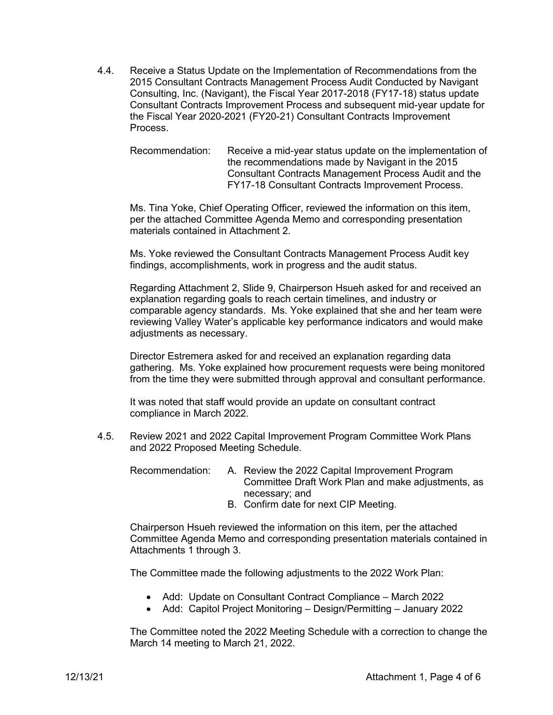4.4. Receive a Status Update on the Implementation of Recommendations from the 2015 Consultant Contracts Management Process Audit Conducted by Navigant Consulting, Inc. (Navigant), the Fiscal Year 2017-2018 (FY17-18) status update Consultant Contracts Improvement Process and subsequent mid-year update for the Fiscal Year 2020-2021 (FY20-21) Consultant Contracts Improvement Process.

Recommendation: Receive a mid-year status update on the implementation of the recommendations made by Navigant in the 2015 Consultant Contracts Management Process Audit and the FY17-18 Consultant Contracts Improvement Process.

Ms. Tina Yoke, Chief Operating Officer, reviewed the information on this item, per the attached Committee Agenda Memo and corresponding presentation materials contained in Attachment 2.

Ms. Yoke reviewed the Consultant Contracts Management Process Audit key findings, accomplishments, work in progress and the audit status.

Regarding Attachment 2, Slide 9, Chairperson Hsueh asked for and received an explanation regarding goals to reach certain timelines, and industry or comparable agency standards. Ms. Yoke explained that she and her team were reviewing Valley Water's applicable key performance indicators and would make adjustments as necessary.

Director Estremera asked for and received an explanation regarding data gathering. Ms. Yoke explained how procurement requests were being monitored from the time they were submitted through approval and consultant performance.

It was noted that staff would provide an update on consultant contract compliance in March 2022.

4.5. Review 2021 and 2022 Capital Improvement Program Committee Work Plans and 2022 Proposed Meeting Schedule.

Recommendation: A. Review the 2022 Capital Improvement Program Committee Draft Work Plan and make adjustments, as necessary; and

B. Confirm date for next CIP Meeting.

Chairperson Hsueh reviewed the information on this item, per the attached Committee Agenda Memo and corresponding presentation materials contained in Attachments 1 through 3.

The Committee made the following adjustments to the 2022 Work Plan:

- Add: Update on Consultant Contract Compliance March 2022
- Add: Capitol Project Monitoring Design/Permitting January 2022

The Committee noted the 2022 Meeting Schedule with a correction to change the March 14 meeting to March 21, 2022.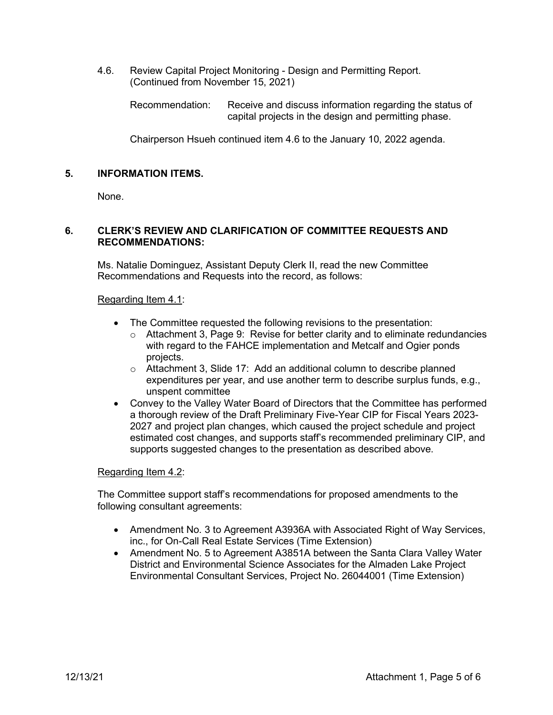4.6. Review Capital Project Monitoring - Design and Permitting Report. (Continued from November 15, 2021)

Recommendation: Receive and discuss information regarding the status of capital projects in the design and permitting phase.

Chairperson Hsueh continued item 4.6 to the January 10, 2022 agenda.

## **5. INFORMATION ITEMS.**

None.

## **6. CLERK'S REVIEW AND CLARIFICATION OF COMMITTEE REQUESTS AND RECOMMENDATIONS:**

Ms. Natalie Dominguez, Assistant Deputy Clerk II, read the new Committee Recommendations and Requests into the record, as follows:

#### Regarding Item 4.1:

- The Committee requested the following revisions to the presentation:
	- o Attachment 3, Page 9: Revise for better clarity and to eliminate redundancies with regard to the FAHCE implementation and Metcalf and Ogier ponds projects.
	- o Attachment 3, Slide 17: Add an additional column to describe planned expenditures per year, and use another term to describe surplus funds, e.g., unspent committee
- Convey to the Valley Water Board of Directors that the Committee has performed a thorough review of the Draft Preliminary Five-Year CIP for Fiscal Years 2023- 2027 and project plan changes, which caused the project schedule and project estimated cost changes, and supports staff's recommended preliminary CIP, and supports suggested changes to the presentation as described above.

## Regarding Item 4.2:

The Committee support staff's recommendations for proposed amendments to the following consultant agreements:

- Amendment No. 3 to Agreement A3936A with Associated Right of Way Services, inc., for On-Call Real Estate Services (Time Extension)
- Amendment No. 5 to Agreement A3851A between the Santa Clara Valley Water District and Environmental Science Associates for the Almaden Lake Project Environmental Consultant Services, Project No. 26044001 (Time Extension)